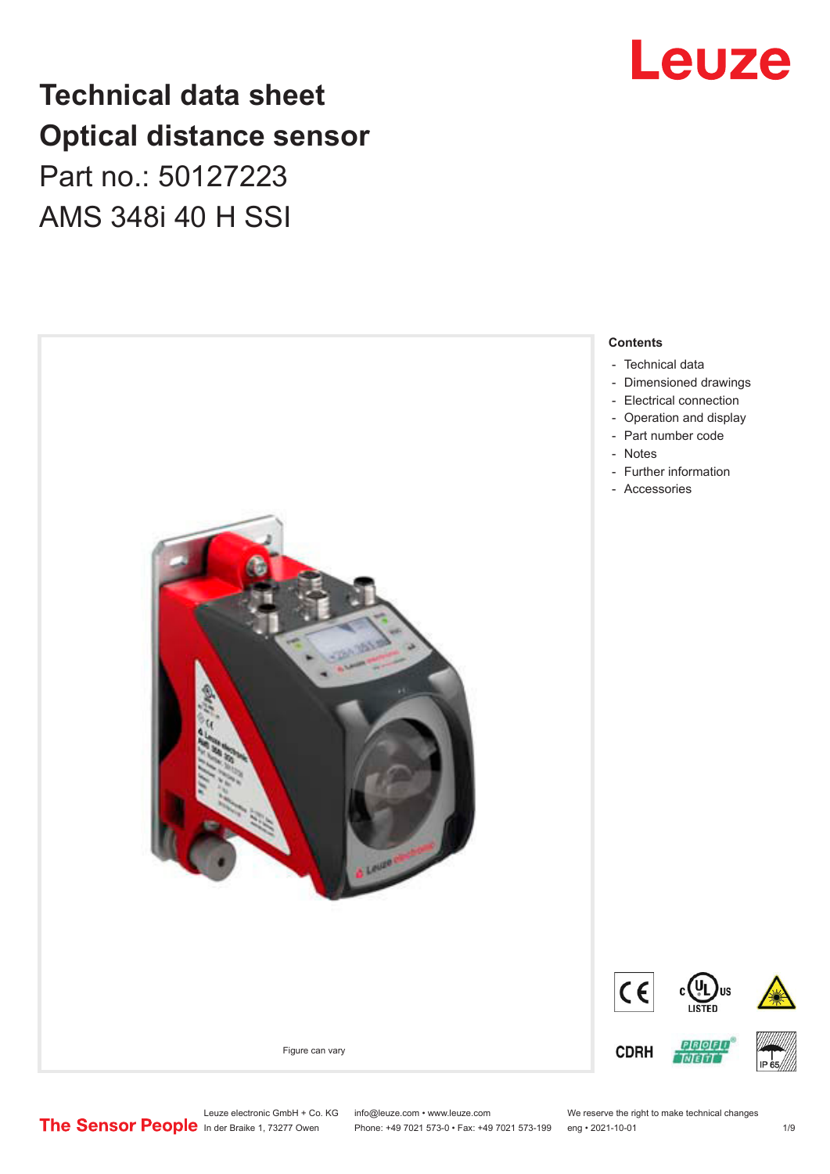# **Technical data sheet Optical distance sensor** Part no.: 50127223 AMS 348i 40 H SSI





Leuze electronic GmbH + Co. KG info@leuze.com • www.leuze.com We reserve the right to make technical changes<br>
The Sensor People in der Braike 1, 73277 Owen Phone: +49 7021 573-0 • Fax: +49 7021 573-199 eng • 2021-10-01

Phone: +49 7021 573-0 • Fax: +49 7021 573-199 eng • 2021-10-01 1 2021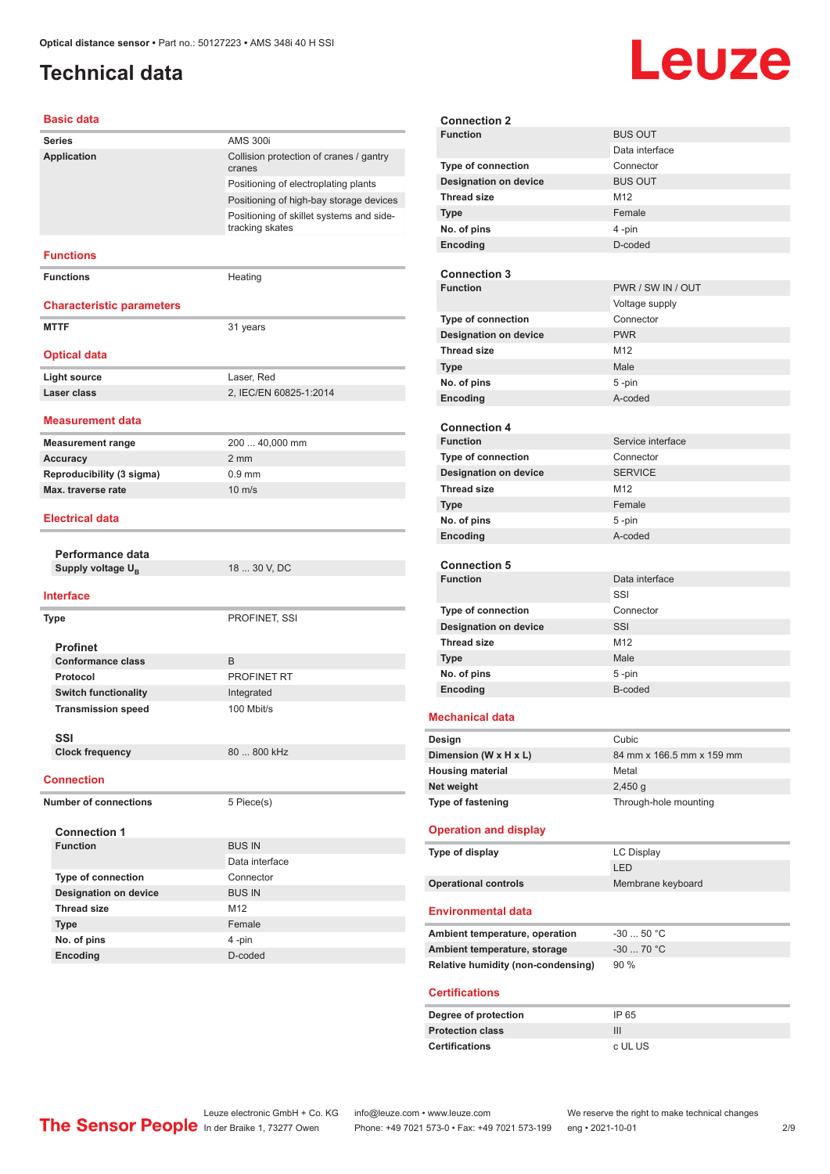## <span id="page-1-0"></span>**Technical data**

# **Leuze**

#### **Basic data**

| <b>Series</b>                    | <b>AMS 300i</b>                                             |
|----------------------------------|-------------------------------------------------------------|
| Application                      | Collision protection of cranes / gantry<br>cranes           |
|                                  | Positioning of electroplating plants                        |
|                                  | Positioning of high-bay storage devices                     |
|                                  | Positioning of skillet systems and side-<br>tracking skates |
| <b>Functions</b>                 |                                                             |
| <b>Functions</b>                 | Heating                                                     |
| <b>Characteristic parameters</b> |                                                             |
| <b>MTTF</b>                      | 31 years                                                    |
| <b>Optical data</b>              |                                                             |
| <b>Light source</b>              | Laser, Red                                                  |
| Laser class                      | 2, IEC/EN 60825-1:2014                                      |
|                                  |                                                             |
| <b>Measurement data</b>          |                                                             |
| <b>Measurement range</b>         | 200  40,000 mm                                              |
| <b>Accuracy</b>                  | $2 \, \text{mm}$                                            |
| Reproducibility (3 sigma)        | $0.9$ mm                                                    |
| Max. traverse rate               | $10 \text{ m/s}$                                            |
| <b>Electrical data</b>           |                                                             |
|                                  |                                                             |
| Performance data                 |                                                             |
| Supply voltage U <sub>R</sub>    | 18  30 V, DC                                                |
| <b>Interface</b>                 |                                                             |
| Type                             | PROFINET, SSI                                               |
| <b>Profinet</b>                  |                                                             |
| <b>Conformance class</b>         | B                                                           |
| Protocol                         | PROFINET RT                                                 |
| <b>Switch functionality</b>      | Integrated                                                  |
| <b>Transmission speed</b>        | 100 Mbit/s                                                  |
| SSI                              |                                                             |
| <b>Clock frequency</b>           | 80  800 kHz                                                 |
| <b>Connection</b>                |                                                             |
| <b>Number of connections</b>     | 5 Piece(s)                                                  |
| <b>Connection 1</b>              |                                                             |
| <b>Function</b>                  | <b>BUS IN</b>                                               |
|                                  | Data interface                                              |
| Type of connection               | Connector                                                   |
| <b>Designation on device</b>     | <b>BUS IN</b>                                               |
| <b>Thread size</b>               | M12                                                         |
|                                  |                                                             |
| <b>Type</b>                      | Female                                                      |
| No. of pins<br>Encoding          | 4 -pin<br>D-coded                                           |

| <b>Connection 2</b>                    |                                           |                           |
|----------------------------------------|-------------------------------------------|---------------------------|
| <b>Function</b>                        |                                           | <b>BUS OUT</b>            |
|                                        |                                           | Data interface            |
| Type of connection                     |                                           | Connector                 |
| <b>Designation on device</b>           |                                           | <b>BUS OUT</b>            |
| <b>Thread size</b>                     |                                           | M12                       |
| <b>Type</b>                            |                                           | Female                    |
| No. of pins                            |                                           | 4-pin                     |
| Encoding                               |                                           | D-coded                   |
|                                        |                                           |                           |
| <b>Connection 3</b>                    |                                           |                           |
| <b>Function</b>                        |                                           | PWR / SW IN / OUT         |
|                                        |                                           | Voltage supply            |
| Type of connection                     |                                           | Connector                 |
| <b>Designation on device</b>           |                                           | <b>PWR</b>                |
| <b>Thread size</b>                     |                                           | M12                       |
| <b>Type</b>                            |                                           | Male                      |
| No. of pins                            |                                           | 5-pin                     |
|                                        |                                           | A-coded                   |
| Encoding                               |                                           |                           |
| <b>Connection 4</b>                    |                                           |                           |
| <b>Function</b>                        |                                           | Service interface         |
| <b>Type of connection</b>              |                                           | Connector                 |
| <b>Designation on device</b>           |                                           | <b>SERVICE</b>            |
| <b>Thread size</b>                     |                                           | M12                       |
|                                        |                                           |                           |
| <b>Type</b>                            |                                           | Female                    |
| No. of pins                            |                                           | 5-pin                     |
| Encoding                               |                                           | A-coded                   |
|                                        |                                           |                           |
| <b>Connection 5</b><br><b>Function</b> |                                           | Data interface            |
|                                        |                                           | SSI                       |
|                                        |                                           | Connector                 |
| Type of connection                     |                                           | SSI                       |
| <b>Designation on device</b>           |                                           |                           |
| <b>Thread size</b>                     |                                           | M <sub>12</sub>           |
| <b>Type</b>                            |                                           | Male                      |
| No. of pins                            |                                           | 5-pin                     |
| Encoding                               |                                           | B-coded                   |
| <b>Mechanical data</b>                 |                                           |                           |
|                                        |                                           |                           |
| Design                                 |                                           | Cubic                     |
| Dimension (W x H x L)                  |                                           | 84 mm x 166.5 mm x 159 mm |
| <b>Housing material</b>                |                                           | Metal                     |
| Net weight                             |                                           | $2,450$ g                 |
| Type of fastening                      |                                           | Through-hole mounting     |
|                                        |                                           |                           |
| <b>Operation and display</b>           |                                           |                           |
| Type of display                        |                                           | <b>LC Display</b>         |
|                                        |                                           | LED                       |
| <b>Operational controls</b>            |                                           | Membrane keyboard         |
|                                        |                                           |                           |
| <b>Environmental data</b>              |                                           |                           |
|                                        | Ambient temperature, operation            | $-3050 °C$                |
|                                        | Ambient temperature, storage              | $-30$ 70 °C               |
|                                        | <b>Relative humidity (non-condensing)</b> | 90 %                      |
|                                        |                                           |                           |
| <b>Certifications</b>                  |                                           |                           |
|                                        |                                           |                           |
| Degree of protection                   |                                           | IP 65                     |
| <b>Protection class</b>                |                                           | Ш                         |
| <b>Certifications</b>                  |                                           | c UL US                   |
|                                        |                                           |                           |

In der Braike 1, 73277 Owen Phone: +49 7021 573-0 • Fax: +49 7021 573-199 eng • 2021-10-01 2 /9

Leuze electronic GmbH + Co. KG info@leuze.com • www.leuze.com We reserve the right to make technical changes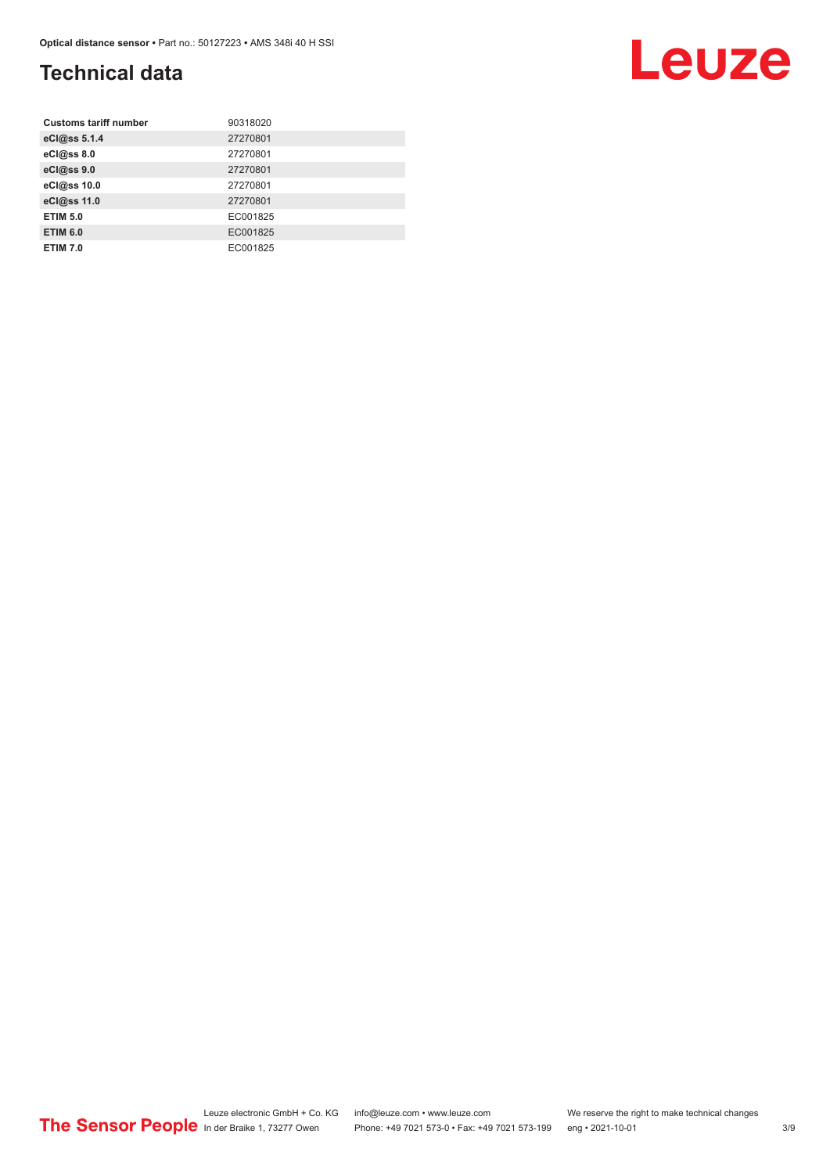## **Technical data**

| <b>Customs tariff number</b> | 90318020 |
|------------------------------|----------|
| eCl@ss 5.1.4                 | 27270801 |
| eCl@ss 8.0                   | 27270801 |
| eCl@ss 9.0                   | 27270801 |
| eCl@ss 10.0                  | 27270801 |
| eCl@ss 11.0                  | 27270801 |
| <b>ETIM 5.0</b>              | EC001825 |
| <b>ETIM 6.0</b>              | EC001825 |
| <b>ETIM 7.0</b>              | EC001825 |



# Leuze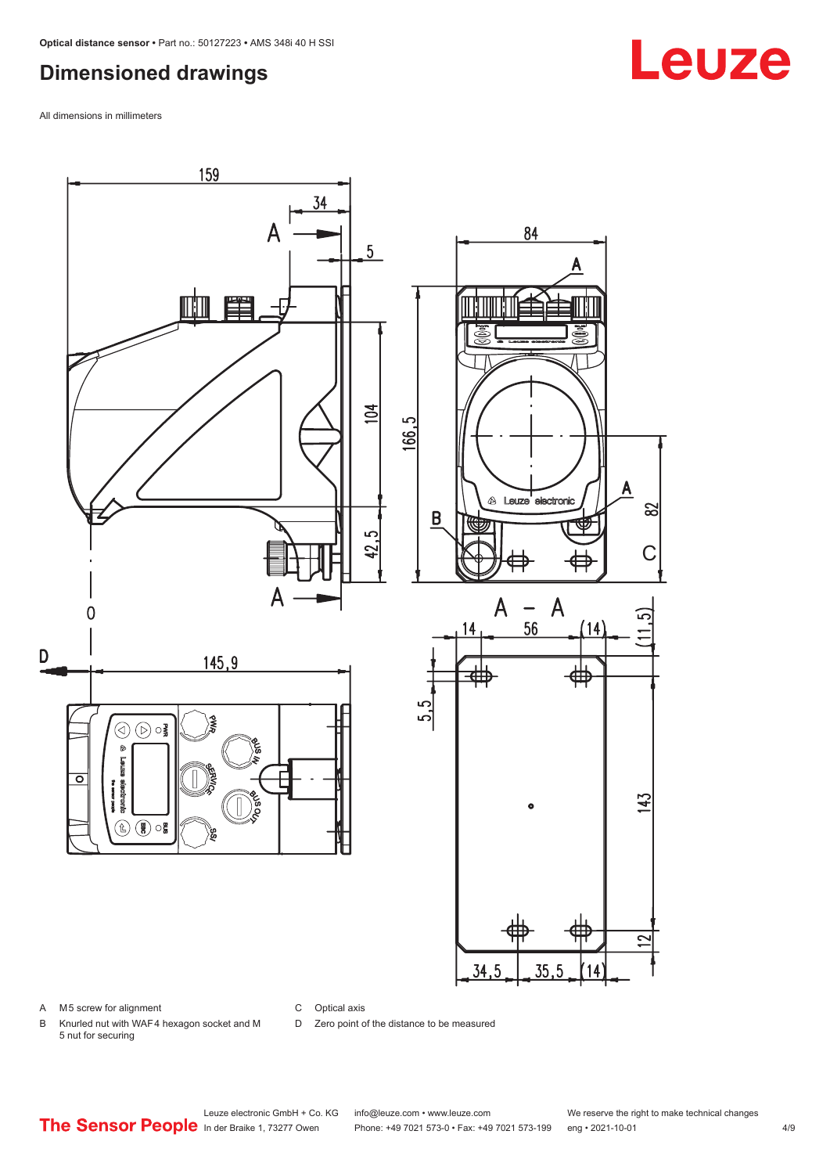### <span id="page-3-0"></span>**Dimensioned drawings**

All dimensions in millimeters



#### A M5 screw for alignment

C Optical axis

D Zero point of the distance to be measured

B Knurled nut with WAF 4 hexagon socket and M 5 nut for securing

# **Leuze**

Leuze electronic GmbH + Co. KG info@leuze.com • www.leuze.com We reserve the right to make technical changes<br>
The Sensor People in der Braike 1, 73277 Owen Phone: +49 7021 573-0 • Fax: +49 7021 573-199 eng • 2021-10-01

Phone: +49 7021 573-0 • Fax: +49 7021 573-199 eng • 2021-10-01 4/9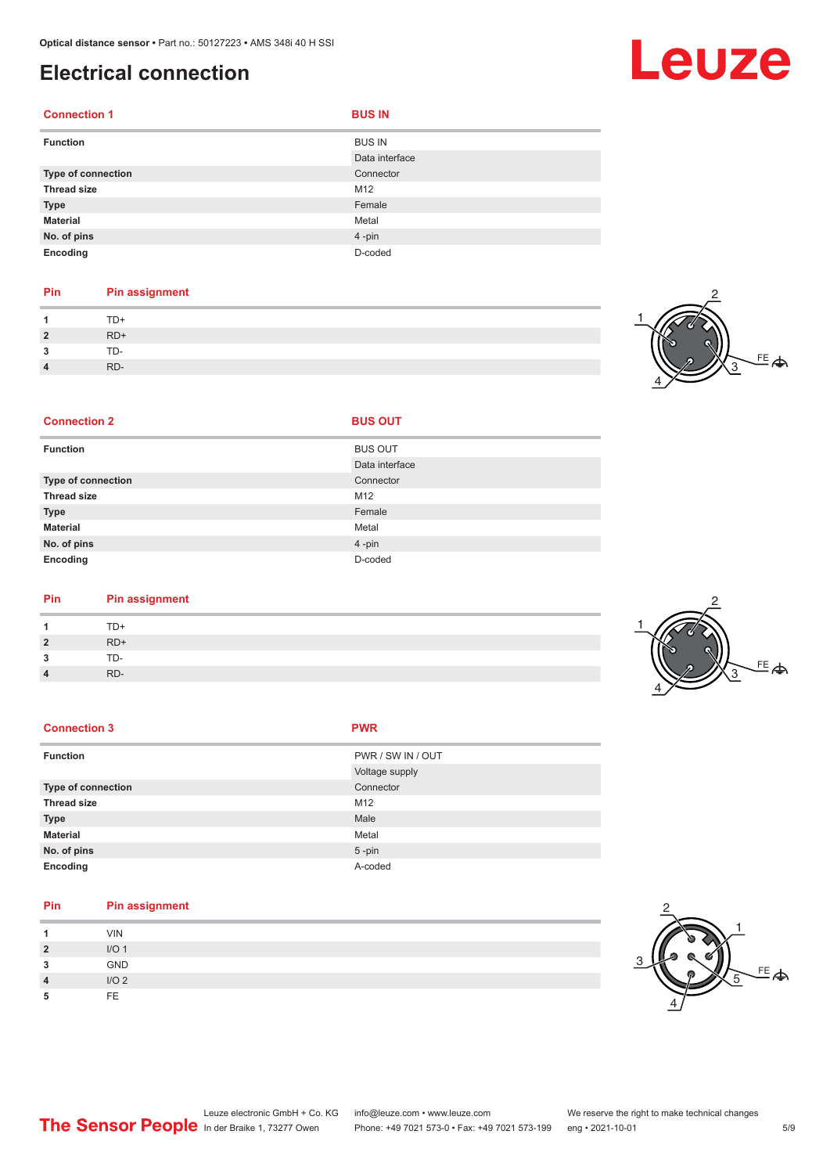# <span id="page-4-0"></span>**Electrical connection**

| <b>Connection 1</b> | <b>BUS IN</b>  |
|---------------------|----------------|
| <b>Function</b>     | <b>BUS IN</b>  |
|                     | Data interface |
| Type of connection  | Connector      |
| <b>Thread size</b>  | M12            |
| <b>Type</b>         | Female         |
| <b>Material</b>     | Metal          |
| No. of pins         | 4-pin          |
| Encoding            | D-coded        |

#### **Pin Pin assignment** 1 TD+<br>2 RD+ **2** RD+ **3** TD-**4** RD-

**Connection 2 BUS OUT** 



**Leuze** 

| <b>Function</b>    | <b>BUS OUT</b> |
|--------------------|----------------|
|                    | Data interface |
| Type of connection | Connector      |
| <b>Thread size</b> | M12            |
| <b>Type</b>        | Female         |
| <b>Material</b>    | Metal          |
| No. of pins        | 4-pin          |
| Encoding           | D-coded        |

| Pin | <b>Pin assignment</b> |
|-----|-----------------------|
|     | TD+                   |

|                      | TD+   |
|----------------------|-------|
| ,                    | $RD+$ |
| $\ddot{\phantom{1}}$ | TD-   |
| $\sqrt{ }$           | RD-   |

| <b>Connection 3</b>       | <b>PWR</b>        |
|---------------------------|-------------------|
| <b>Function</b>           | PWR / SW IN / OUT |
|                           | Voltage supply    |
| <b>Type of connection</b> | Connector         |
| <b>Thread size</b>        | M12               |
| <b>Type</b>               | Male              |
| <b>Material</b>           | Metal             |
| No. of pins               | $5$ -pin          |
| Encoding                  | A-coded           |

| Pin            | <b>Pin assignment</b> |
|----------------|-----------------------|
|                | <b>VIN</b>            |
| $\overline{2}$ | I/O <sub>1</sub>      |
| 3              | <b>GND</b>            |
| 4              | I/O <sub>2</sub>      |
| 5              | <b>FE</b>             |





2 1

4

<sup>FE</sup><br>今

3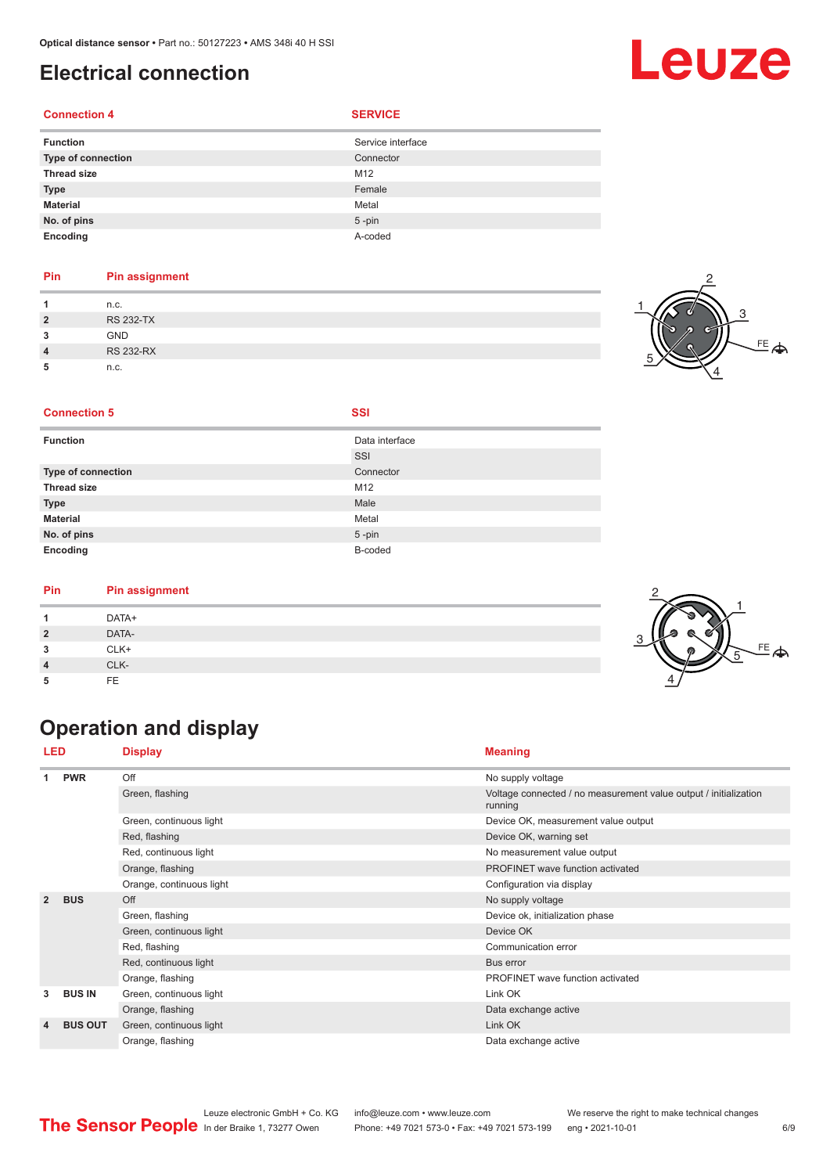#### <span id="page-5-0"></span>**Electrical connection**

#### **Connection 4 SERVICE**

|        |  | × |
|--------|--|---|
| $\sim$ |  |   |

| <b>Function</b>           | Service interface |
|---------------------------|-------------------|
| <b>Type of connection</b> | Connector         |
| <b>Thread size</b>        | M12               |
| <b>Type</b>               | Female            |
| <b>Material</b>           | Metal             |
| No. of pins               | $5 - pin$         |
| Encoding                  | A-coded           |

#### **Pin Pin assignment**

|                | n.c.             |  |
|----------------|------------------|--|
| $\overline{2}$ | <b>RS 232-TX</b> |  |
| 3              | <b>GND</b>       |  |
| 4              | <b>RS 232-RX</b> |  |
|                | n.c.             |  |

## $\stackrel{\text{FE}}{=} \spadesuit$ 3 2 4

#### **Connection 5 SSI**

| <b>Function</b>    | Data interface |
|--------------------|----------------|
|                    | SSI            |
| Type of connection | Connector      |
| <b>Thread size</b> | M12            |
| <b>Type</b>        | Male           |
| <b>Material</b>    | Metal          |
| No. of pins        | $5 - pin$      |
| Encoding           | B-coded        |

#### **Pin Pin assignment**

| . |       |   |
|---|-------|---|
|   | DATA+ |   |
| ີ | DATA- |   |
| 3 | CLK+  | m |
|   | CLK-  |   |
| 5 | FE    |   |

# **Operation and display**

| <b>LED</b>         |                | <b>Display</b>           | <b>Meaning</b>                                                              |
|--------------------|----------------|--------------------------|-----------------------------------------------------------------------------|
|                    | <b>PWR</b>     | Off                      | No supply voltage                                                           |
|                    |                | Green, flashing          | Voltage connected / no measurement value output / initialization<br>running |
|                    |                | Green, continuous light  | Device OK, measurement value output                                         |
|                    |                | Red, flashing            | Device OK, warning set                                                      |
|                    |                | Red, continuous light    | No measurement value output                                                 |
|                    |                | Orange, flashing         | PROFINET wave function activated                                            |
|                    |                | Orange, continuous light | Configuration via display                                                   |
| $\overline{2}$     | <b>BUS</b>     | Off                      | No supply voltage                                                           |
|                    |                | Green, flashing          | Device ok, initialization phase                                             |
|                    |                | Green, continuous light  | Device OK                                                                   |
|                    |                | Red, flashing            | Communication error                                                         |
|                    |                | Red, continuous light    | Bus error                                                                   |
|                    |                | Orange, flashing         | PROFINET wave function activated                                            |
| 3                  | <b>BUS IN</b>  | Green, continuous light  | Link OK                                                                     |
|                    |                | Orange, flashing         | Data exchange active                                                        |
| $\overline{\bf 4}$ | <b>BUS OUT</b> | Green, continuous light  | Link OK                                                                     |
|                    |                | Orange, flashing         | Data exchange active                                                        |



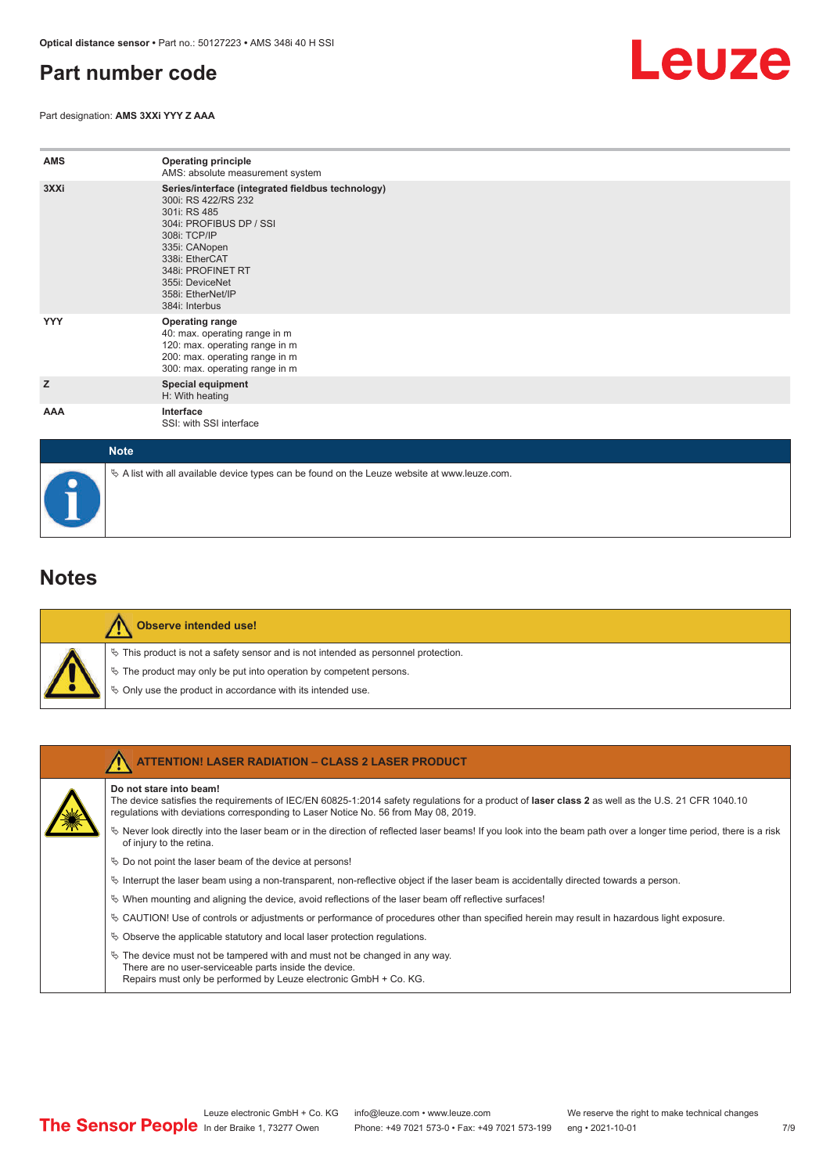### <span id="page-6-0"></span>**Part number code**

Part designation: **AMS 3XXi YYY Z AAA**



| <b>AMS</b>  | <b>Operating principle</b><br>AMS: absolute measurement system                                                                                                                                                                                        |
|-------------|-------------------------------------------------------------------------------------------------------------------------------------------------------------------------------------------------------------------------------------------------------|
| 3XXi        | Series/interface (integrated fieldbus technology)<br>300i: RS 422/RS 232<br>301i: RS 485<br>304i: PROFIBUS DP / SSI<br>308i: TCP/IP<br>335i: CANopen<br>338i: EtherCAT<br>348i: PROFINET RT<br>355i: DeviceNet<br>358i: EtherNet/IP<br>384i: Interbus |
| <b>YYY</b>  | <b>Operating range</b><br>40: max. operating range in m<br>120: max. operating range in m<br>200: max. operating range in m<br>300: max. operating range in m                                                                                         |
| z           | <b>Special equipment</b><br>H: With heating                                                                                                                                                                                                           |
| AAA         | Interface<br>SSI: with SSI interface                                                                                                                                                                                                                  |
| <b>Note</b> |                                                                                                                                                                                                                                                       |

# $\%$  A list with all available device types can be found on the Leuze website at www.leuze.com.

#### **Notes**

| y, |
|----|
| Ф  |
| ų, |

#### **Observe intended use!**

This product is not a safety sensor and is not intended as personnel protection.

- The product may only be put into operation by competent persons.
- Only use the product in accordance with its intended use.

| <b>ATTENTION! LASER RADIATION - CLASS 2 LASER PRODUCT</b>                                                                                                                                                                                                           |
|---------------------------------------------------------------------------------------------------------------------------------------------------------------------------------------------------------------------------------------------------------------------|
| Do not stare into beam!<br>The device satisfies the requirements of IEC/EN 60825-1:2014 safety requlations for a product of laser class 2 as well as the U.S. 21 CFR 1040.10<br>requlations with deviations corresponding to Laser Notice No. 56 from May 08, 2019. |
| Never look directly into the laser beam or in the direction of reflected laser beams! If you look into the beam path over a longer time period, there is a risk<br>of injury to the retina.                                                                         |
| $\&$ Do not point the laser beam of the device at persons!                                                                                                                                                                                                          |
| $\%$ Interrupt the laser beam using a non-transparent, non-reflective object if the laser beam is accidentally directed towards a person.                                                                                                                           |
| $\%$ When mounting and aligning the device, avoid reflections of the laser beam off reflective surfaces!                                                                                                                                                            |
| $\&$ CAUTION! Use of controls or adjustments or performance of procedures other than specified herein may result in hazardous light exposure.                                                                                                                       |
| $\%$ Observe the applicable statutory and local laser protection regulations.                                                                                                                                                                                       |
| $\%$ The device must not be tampered with and must not be changed in any way.<br>There are no user-serviceable parts inside the device.<br>Repairs must only be performed by Leuze electronic GmbH + Co. KG.                                                        |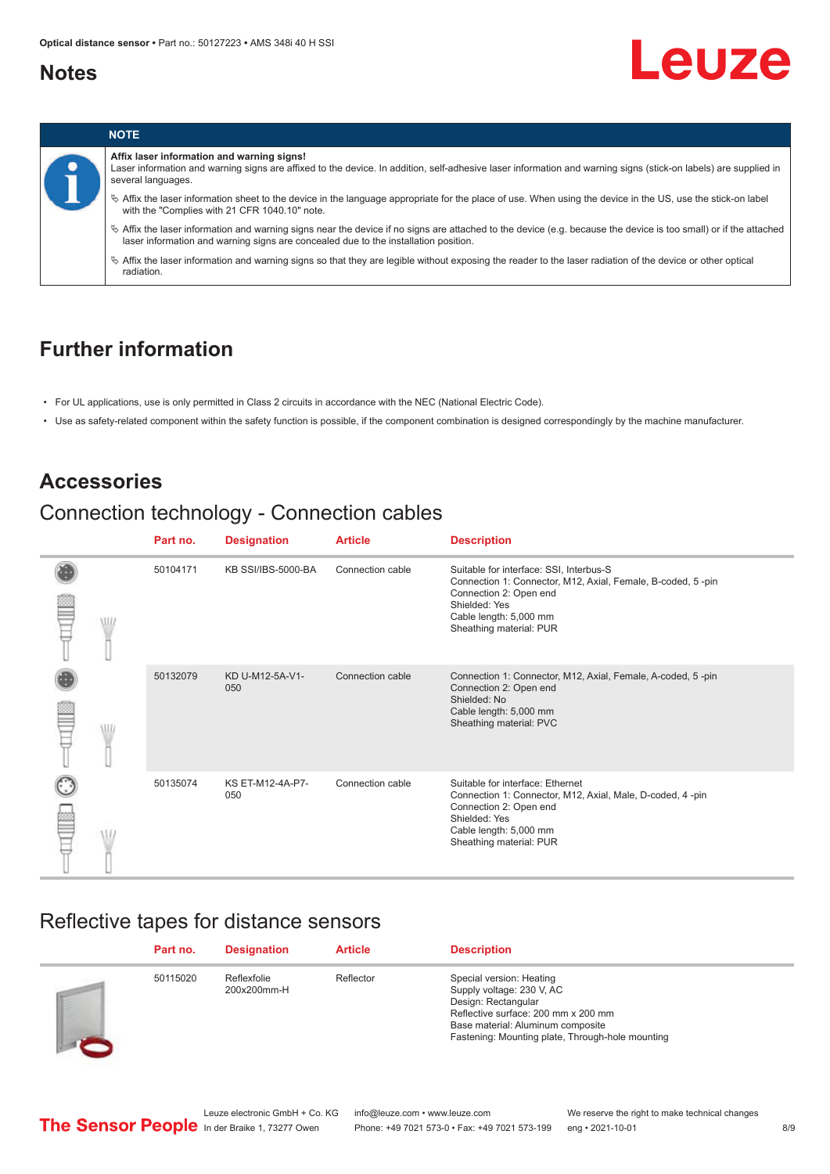#### <span id="page-7-0"></span>**Notes**





#### **Affix laser information and warning signs!**

Laser information and warning signs are affixed to the device. In addition, self-adhesive laser information and warning signs (stick-on labels) are supplied in several languages.

ª Affix the laser information sheet to the device in the language appropriate for the place of use. When using the device in the US, use the stick-on label with the "Complies with 21 CFR 1040.10" note.

ª Affix the laser information and warning signs near the device if no signs are attached to the device (e.g. because the device is too small) or if the attached laser information and warning signs are concealed due to the installation position.

ª Affix the laser information and warning signs so that they are legible without exposing the reader to the laser radiation of the device or other optical radiation.

#### **Further information**

- For UL applications, use is only permitted in Class 2 circuits in accordance with the NEC (National Electric Code).
- Use as safety-related component within the safety function is possible, if the component combination is designed correspondingly by the machine manufacturer.

#### **Accessories**

## Connection technology - Connection cables

|   | Part no. | <b>Designation</b>      | <b>Article</b>   | <b>Description</b>                                                                                                                                                                                     |
|---|----------|-------------------------|------------------|--------------------------------------------------------------------------------------------------------------------------------------------------------------------------------------------------------|
| W | 50104171 | KB SSI/IBS-5000-BA      | Connection cable | Suitable for interface: SSI, Interbus-S<br>Connection 1: Connector, M12, Axial, Female, B-coded, 5-pin<br>Connection 2: Open end<br>Shielded: Yes<br>Cable length: 5,000 mm<br>Sheathing material: PUR |
|   | 50132079 | KD U-M12-5A-V1-<br>050  | Connection cable | Connection 1: Connector, M12, Axial, Female, A-coded, 5-pin<br>Connection 2: Open end<br>Shielded: No<br>Cable length: 5,000 mm<br>Sheathing material: PVC                                             |
|   | 50135074 | KS ET-M12-4A-P7-<br>050 | Connection cable | Suitable for interface: Ethernet<br>Connection 1: Connector, M12, Axial, Male, D-coded, 4-pin<br>Connection 2: Open end<br>Shielded: Yes<br>Cable length: 5,000 mm<br>Sheathing material: PUR          |

#### Reflective tapes for distance sensors

| Part no. | <b>Designation</b>         | <b>Article</b> | <b>Description</b>                                                                                                                                                                                           |
|----------|----------------------------|----------------|--------------------------------------------------------------------------------------------------------------------------------------------------------------------------------------------------------------|
| 50115020 | Reflexfolie<br>200x200mm-H | Reflector      | Special version: Heating<br>Supply voltage: 230 V, AC<br>Design: Rectangular<br>Reflective surface: 200 mm x 200 mm<br>Base material: Aluminum composite<br>Fastening: Mounting plate, Through-hole mounting |